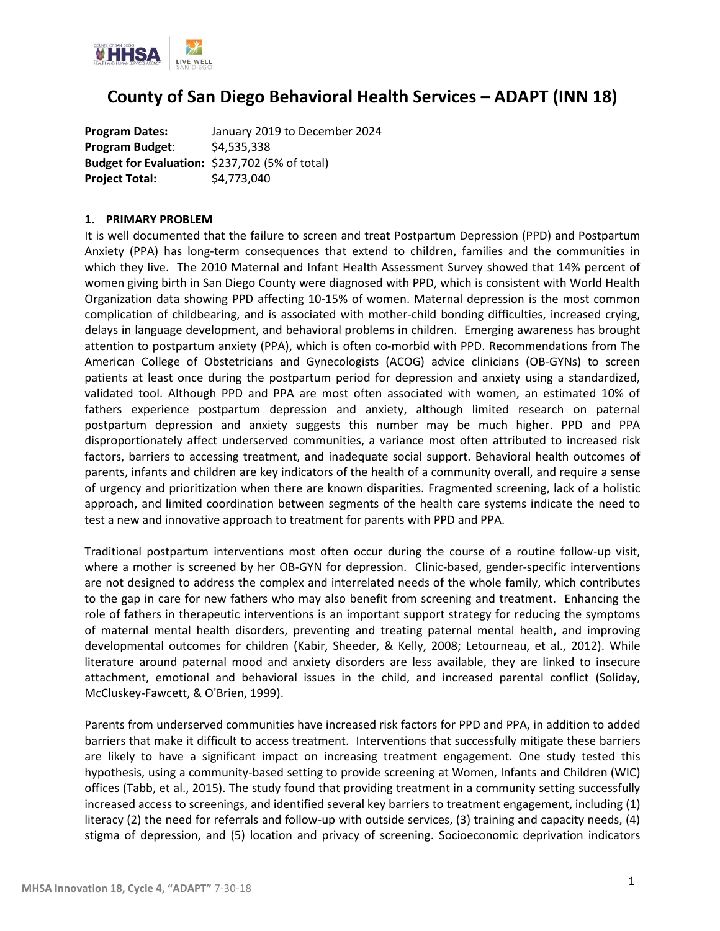

## **County of San Diego Behavioral Health Services – ADAPT (INN 18)**

**Program Dates:** January 2019 to December 2024 **Program Budget**: \$4,535,338 **Budget for Evaluation:** \$237,702 (5% of total) **Project Total:** \$4,773,040

#### **1. PRIMARY PROBLEM**

It is well documented that the failure to screen and treat Postpartum Depression (PPD) and Postpartum Anxiety (PPA) has long-term consequences that extend to children, families and the communities in which they live. The 2010 Maternal and Infant Health Assessment Survey showed that 14% percent of women giving birth in San Diego County were diagnosed with PPD, which is consistent with World Health Organization data showing PPD affecting 10-15% of women. Maternal depression is the most common complication of childbearing, and is associated with mother-child bonding difficulties, increased crying, delays in language development, and behavioral problems in children. Emerging awareness has brought attention to postpartum anxiety (PPA), which is often co-morbid with PPD. Recommendations from The American College of Obstetricians and Gynecologists (ACOG) advice clinicians (OB-GYNs) to screen patients at least once during the postpartum period for depression and anxiety using a standardized, validated tool. Although PPD and PPA are most often associated with women, an estimated 10% of fathers experience postpartum depression and anxiety, although limited research on paternal postpartum depression and anxiety suggests this number may be much higher. PPD and PPA disproportionately affect underserved communities, a variance most often attributed to increased risk factors, barriers to accessing treatment, and inadequate social support. Behavioral health outcomes of parents, infants and children are key indicators of the health of a community overall, and require a sense of urgency and prioritization when there are known disparities. Fragmented screening, lack of a holistic approach, and limited coordination between segments of the health care systems indicate the need to test a new and innovative approach to treatment for parents with PPD and PPA.

Traditional postpartum interventions most often occur during the course of a routine follow-up visit, where a mother is screened by her OB-GYN for depression. Clinic-based, gender-specific interventions are not designed to address the complex and interrelated needs of the whole family, which contributes to the gap in care for new fathers who may also benefit from screening and treatment. Enhancing the role of fathers in therapeutic interventions is an important support strategy for reducing the symptoms of maternal mental health disorders, preventing and treating paternal mental health, and improving developmental outcomes for children (Kabir, Sheeder, & Kelly, 2008; Letourneau, et al., 2012). While literature around paternal mood and anxiety disorders are less available, they are linked to insecure attachment, emotional and behavioral issues in the child, and increased parental conflict (Soliday, McCluskey-Fawcett, & O'Brien, 1999).

Parents from underserved communities have increased risk factors for PPD and PPA, in addition to added barriers that make it difficult to access treatment. Interventions that successfully mitigate these barriers are likely to have a significant impact on increasing treatment engagement. One study tested this hypothesis, using a community-based setting to provide screening at Women, Infants and Children (WIC) offices (Tabb, et al., 2015). The study found that providing treatment in a community setting successfully increased access to screenings, and identified several key barriers to treatment engagement, including (1) literacy (2) the need for referrals and follow-up with outside services, (3) training and capacity needs, (4) stigma of depression, and (5) location and privacy of screening. Socioeconomic deprivation indicators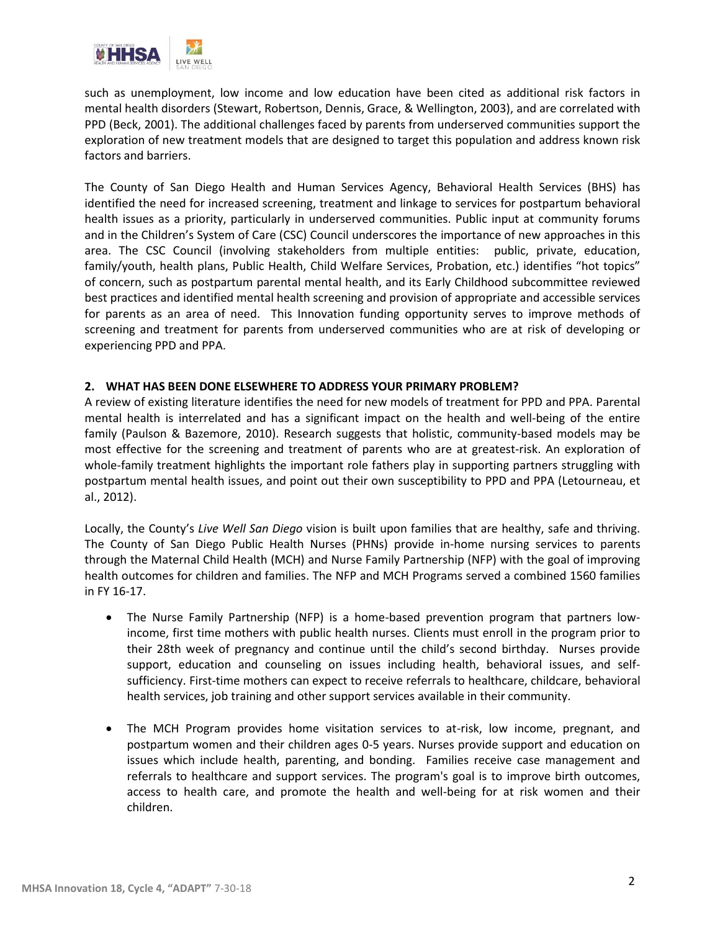

such as unemployment, low income and low education have been cited as additional risk factors in mental health disorders (Stewart, Robertson, Dennis, Grace, & Wellington, 2003), and are correlated with PPD (Beck, 2001). The additional challenges faced by parents from underserved communities support the exploration of new treatment models that are designed to target this population and address known risk factors and barriers.

The County of San Diego Health and Human Services Agency, Behavioral Health Services (BHS) has identified the need for increased screening, treatment and linkage to services for postpartum behavioral health issues as a priority, particularly in underserved communities. Public input at community forums and in the Children's System of Care (CSC) Council underscores the importance of new approaches in this area. The CSC Council (involving stakeholders from multiple entities: public, private, education, family/youth, health plans, Public Health, Child Welfare Services, Probation, etc.) identifies "hot topics" of concern, such as postpartum parental mental health, and its Early Childhood subcommittee reviewed best practices and identified mental health screening and provision of appropriate and accessible services for parents as an area of need. This Innovation funding opportunity serves to improve methods of screening and treatment for parents from underserved communities who are at risk of developing or experiencing PPD and PPA.

#### **2. WHAT HAS BEEN DONE ELSEWHERE TO ADDRESS YOUR PRIMARY PROBLEM?**

A review of existing literature identifies the need for new models of treatment for PPD and PPA. Parental mental health is interrelated and has a significant impact on the health and well-being of the entire family (Paulson & Bazemore, 2010). Research suggests that holistic, community-based models may be most effective for the screening and treatment of parents who are at greatest-risk. An exploration of whole-family treatment highlights the important role fathers play in supporting partners struggling with postpartum mental health issues, and point out their own susceptibility to PPD and PPA (Letourneau, et al., 2012).

Locally, the County's *Live Well San Diego* vision is built upon families that are healthy, safe and thriving. The County of San Diego Public Health Nurses (PHNs) provide in-home nursing services to parents through the Maternal Child Health (MCH) and Nurse Family Partnership (NFP) with the goal of improving health outcomes for children and families. The NFP and MCH Programs served a combined 1560 families in FY 16-17.

- The Nurse Family Partnership (NFP) is a home-based prevention program that partners lowincome, first time mothers with public health nurses. Clients must enroll in the program prior to their 28th week of pregnancy and continue until the child's second birthday. Nurses provide support, education and counseling on issues including health, behavioral issues, and selfsufficiency. First-time mothers can expect to receive referrals to healthcare, childcare, behavioral health services, job training and other support services available in their community.
- The MCH Program provides home visitation services to at-risk, low income, pregnant, and postpartum women and their children ages 0-5 years. Nurses provide support and education on issues which include health, parenting, and bonding. Families receive case management and referrals to healthcare and support services. The program's goal is to improve birth outcomes, access to health care, and promote the health and well-being for at risk women and their children.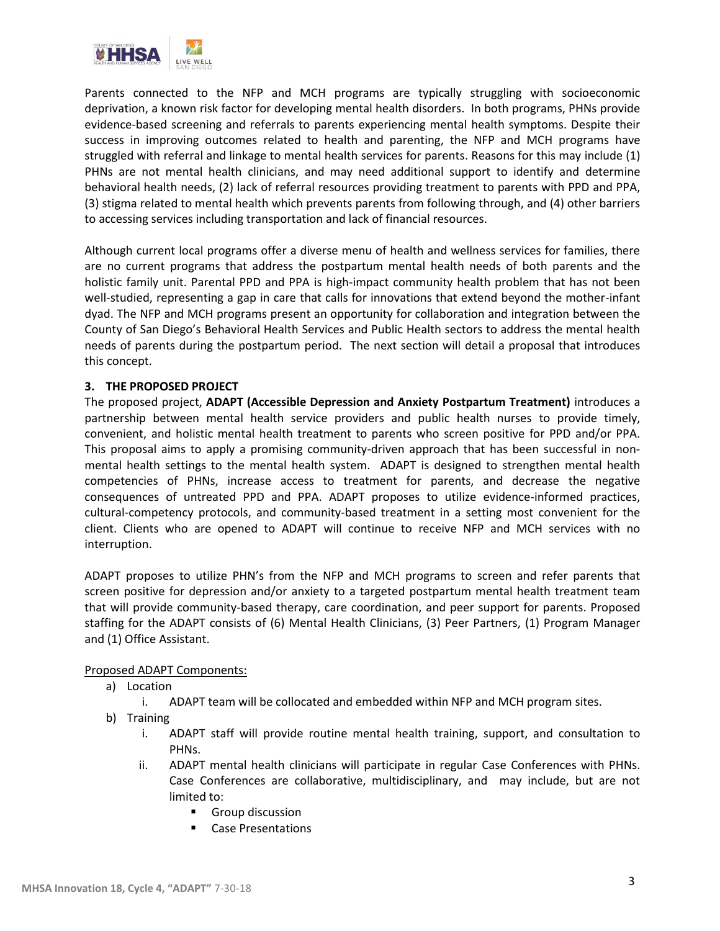

Parents connected to the NFP and MCH programs are typically struggling with socioeconomic deprivation, a known risk factor for developing mental health disorders. In both programs, PHNs provide evidence-based screening and referrals to parents experiencing mental health symptoms. Despite their success in improving outcomes related to health and parenting, the NFP and MCH programs have struggled with referral and linkage to mental health services for parents. Reasons for this may include (1) PHNs are not mental health clinicians, and may need additional support to identify and determine behavioral health needs, (2) lack of referral resources providing treatment to parents with PPD and PPA, (3) stigma related to mental health which prevents parents from following through, and (4) other barriers to accessing services including transportation and lack of financial resources.

Although current local programs offer a diverse menu of health and wellness services for families, there are no current programs that address the postpartum mental health needs of both parents and the holistic family unit. Parental PPD and PPA is high-impact community health problem that has not been well-studied, representing a gap in care that calls for innovations that extend beyond the mother-infant dyad. The NFP and MCH programs present an opportunity for collaboration and integration between the County of San Diego's Behavioral Health Services and Public Health sectors to address the mental health needs of parents during the postpartum period. The next section will detail a proposal that introduces this concept.

### **3. THE PROPOSED PROJECT**

The proposed project, **ADAPT (Accessible Depression and Anxiety Postpartum Treatment)** introduces a partnership between mental health service providers and public health nurses to provide timely, convenient, and holistic mental health treatment to parents who screen positive for PPD and/or PPA. This proposal aims to apply a promising community-driven approach that has been successful in non‐ mental health settings to the mental health system. ADAPT is designed to strengthen mental health competencies of PHNs, increase access to treatment for parents, and decrease the negative consequences of untreated PPD and PPA. ADAPT proposes to utilize evidence-informed practices, cultural-competency protocols, and community-based treatment in a setting most convenient for the client. Clients who are opened to ADAPT will continue to receive NFP and MCH services with no interruption.

ADAPT proposes to utilize PHN's from the NFP and MCH programs to screen and refer parents that screen positive for depression and/or anxiety to a targeted postpartum mental health treatment team that will provide community-based therapy, care coordination, and peer support for parents. Proposed staffing for the ADAPT consists of (6) Mental Health Clinicians, (3) Peer Partners, (1) Program Manager and (1) Office Assistant.

### Proposed ADAPT Components:

- a) Location
	- i. ADAPT team will be collocated and embedded within NFP and MCH program sites.
- b) Training
	- i. ADAPT staff will provide routine mental health training, support, and consultation to PHNs.
	- ii. ADAPT mental health clinicians will participate in regular Case Conferences with PHNs. Case Conferences are collaborative, multidisciplinary, and may include, but are not limited to:
		- Group discussion
		- Case Presentations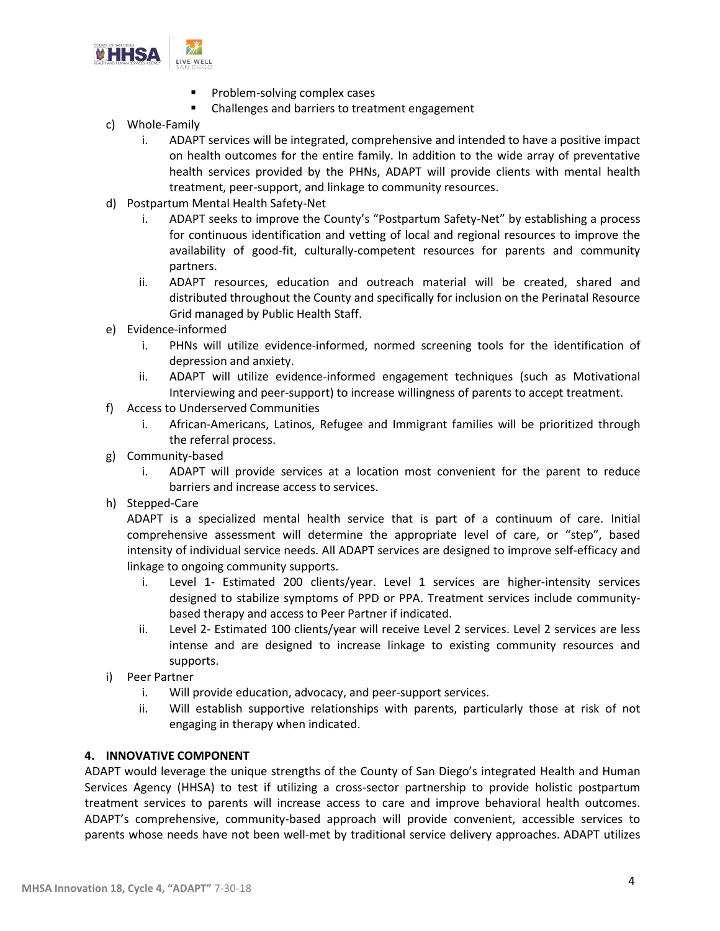

- Problem-solving complex cases
- Challenges and barriers to treatment engagement
- c) Whole-Family
	- i. ADAPT services will be integrated, comprehensive and intended to have a positive impact on health outcomes for the entire family. In addition to the wide array of preventative health services provided by the PHNs, ADAPT will provide clients with mental health treatment, peer-support, and linkage to community resources.
- d) Postpartum Mental Health Safety-Net
	- i. ADAPT seeks to improve the County's "Postpartum Safety-Net" by establishing a process for continuous identification and vetting of local and regional resources to improve the availability of good-fit, culturally-competent resources for parents and community partners.
	- ii. ADAPT resources, education and outreach material will be created, shared and distributed throughout the County and specifically for inclusion on the Perinatal Resource Grid managed by Public Health Staff.
- e) Evidence-informed
	- i. PHNs will utilize evidence-informed, normed screening tools for the identification of depression and anxiety.
	- ii. ADAPT will utilize evidence-informed engagement techniques (such as Motivational Interviewing and peer-support) to increase willingness of parents to accept treatment.
- f) Access to Underserved Communities
	- i. African-Americans, Latinos, Refugee and Immigrant families will be prioritized through the referral process.
- g) Community-based
	- i. ADAPT will provide services at a location most convenient for the parent to reduce barriers and increase access to services.
- h) Stepped-Care

ADAPT is a specialized mental health service that is part of a continuum of care. Initial comprehensive assessment will determine the appropriate level of care, or "step", based intensity of individual service needs. All ADAPT services are designed to improve self-efficacy and linkage to ongoing community supports.

- i. Level 1- Estimated 200 clients/year. Level 1 services are higher-intensity services designed to stabilize symptoms of PPD or PPA. Treatment services include communitybased therapy and access to Peer Partner if indicated.
- ii. Level 2- Estimated 100 clients/year will receive Level 2 services. Level 2 services are less intense and are designed to increase linkage to existing community resources and supports.
- i) Peer Partner
	- i. Will provide education, advocacy, and peer-support services.
	- ii. Will establish supportive relationships with parents, particularly those at risk of not engaging in therapy when indicated.

## **4. INNOVATIVE COMPONENT**

ADAPT would leverage the unique strengths of the County of San Diego's integrated Health and Human Services Agency (HHSA) to test if utilizing a cross-sector partnership to provide holistic postpartum treatment services to parents will increase access to care and improve behavioral health outcomes. ADAPT's comprehensive, community-based approach will provide convenient, accessible services to parents whose needs have not been well-met by traditional service delivery approaches. ADAPT utilizes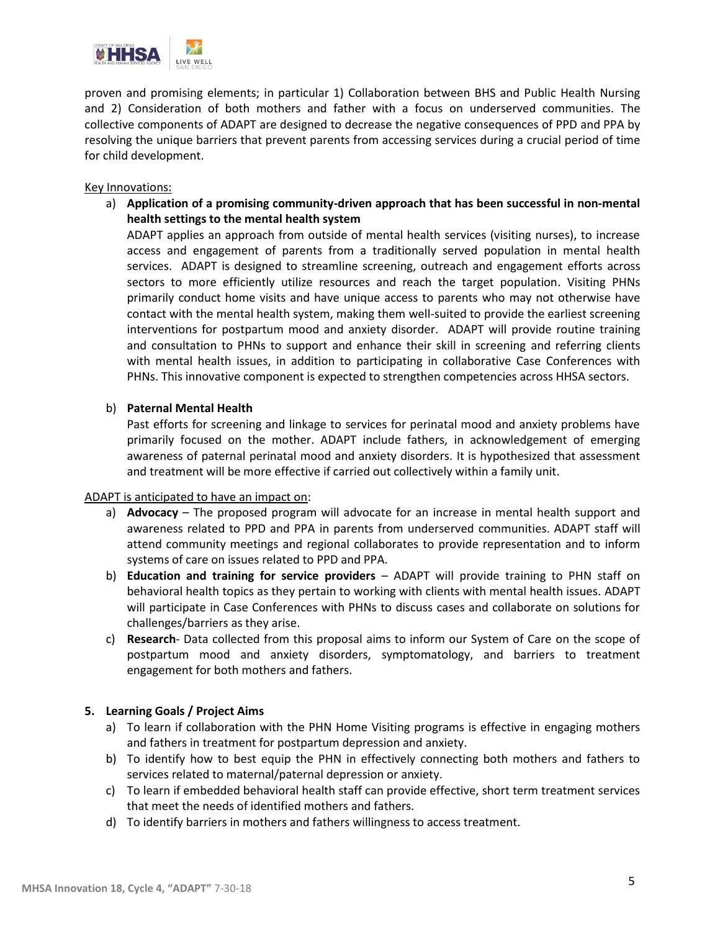

proven and promising elements; in particular 1) Collaboration between BHS and Public Health Nursing and 2) Consideration of both mothers and father with a focus on underserved communities. The collective components of ADAPT are designed to decrease the negative consequences of PPD and PPA by resolving the unique barriers that prevent parents from accessing services during a crucial period of time for child development.

#### Key Innovations:

a) **Application of a promising community-driven approach that has been successful in non‐mental health settings to the mental health system**

ADAPT applies an approach from outside of mental health services (visiting nurses), to increase access and engagement of parents from a traditionally served population in mental health services. ADAPT is designed to streamline screening, outreach and engagement efforts across sectors to more efficiently utilize resources and reach the target population. Visiting PHNs primarily conduct home visits and have unique access to parents who may not otherwise have contact with the mental health system, making them well-suited to provide the earliest screening interventions for postpartum mood and anxiety disorder. ADAPT will provide routine training and consultation to PHNs to support and enhance their skill in screening and referring clients with mental health issues, in addition to participating in collaborative Case Conferences with PHNs. This innovative component is expected to strengthen competencies across HHSA sectors.

### b) **Paternal Mental Health**

Past efforts for screening and linkage to services for perinatal mood and anxiety problems have primarily focused on the mother. ADAPT include fathers, in acknowledgement of emerging awareness of paternal perinatal mood and anxiety disorders. It is hypothesized that assessment and treatment will be more effective if carried out collectively within a family unit.

### ADAPT is anticipated to have an impact on:

- a) **Advocacy** The proposed program will advocate for an increase in mental health support and awareness related to PPD and PPA in parents from underserved communities. ADAPT staff will attend community meetings and regional collaborates to provide representation and to inform systems of care on issues related to PPD and PPA.
- b) **Education and training for service providers** ADAPT will provide training to PHN staff on behavioral health topics as they pertain to working with clients with mental health issues. ADAPT will participate in Case Conferences with PHNs to discuss cases and collaborate on solutions for challenges/barriers as they arise.
- c) **Research** Data collected from this proposal aims to inform our System of Care on the scope of postpartum mood and anxiety disorders, symptomatology, and barriers to treatment engagement for both mothers and fathers.

### **5. Learning Goals / Project Aims**

- a) To learn if collaboration with the PHN Home Visiting programs is effective in engaging mothers and fathers in treatment for postpartum depression and anxiety.
- b) To identify how to best equip the PHN in effectively connecting both mothers and fathers to services related to maternal/paternal depression or anxiety.
- c) To learn if embedded behavioral health staff can provide effective, short term treatment services that meet the needs of identified mothers and fathers.
- d) To identify barriers in mothers and fathers willingness to access treatment.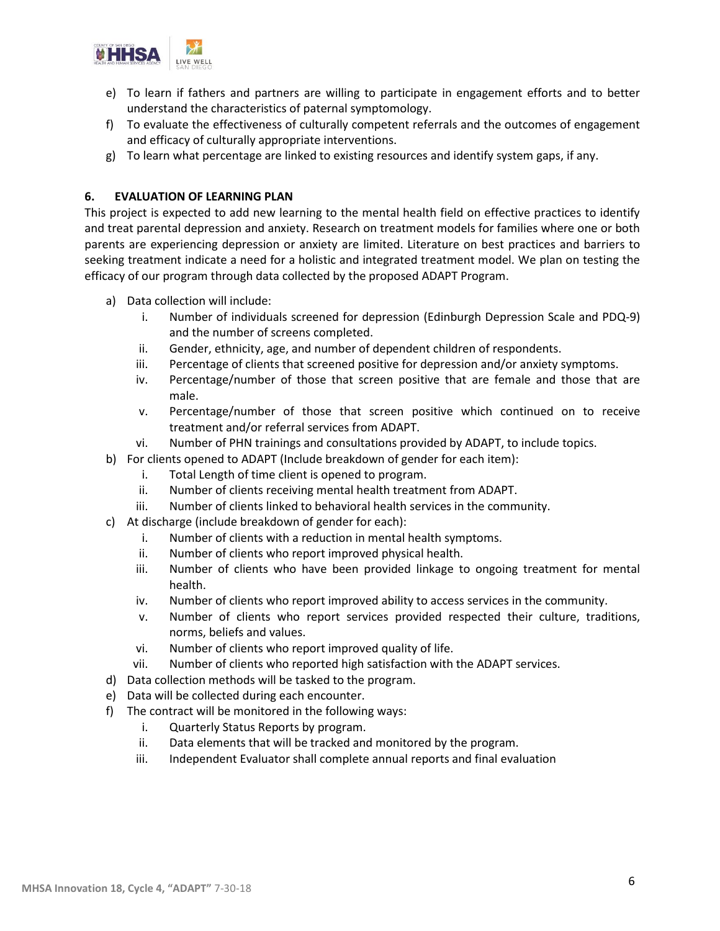

- e) To learn if fathers and partners are willing to participate in engagement efforts and to better understand the characteristics of paternal symptomology.
- f) To evaluate the effectiveness of culturally competent referrals and the outcomes of engagement and efficacy of culturally appropriate interventions.
- g) To learn what percentage are linked to existing resources and identify system gaps, if any.

## **6. EVALUATION OF LEARNING PLAN**

This project is expected to add new learning to the mental health field on effective practices to identify and treat parental depression and anxiety. Research on treatment models for families where one or both parents are experiencing depression or anxiety are limited. Literature on best practices and barriers to seeking treatment indicate a need for a holistic and integrated treatment model. We plan on testing the efficacy of our program through data collected by the proposed ADAPT Program.

- a) Data collection will include:
	- i. Number of individuals screened for depression (Edinburgh Depression Scale and PDQ-9) and the number of screens completed.
	- ii. Gender, ethnicity, age, and number of dependent children of respondents.
	- iii. Percentage of clients that screened positive for depression and/or anxiety symptoms.
	- iv. Percentage/number of those that screen positive that are female and those that are male.
	- v. Percentage/number of those that screen positive which continued on to receive treatment and/or referral services from ADAPT.
	- vi. Number of PHN trainings and consultations provided by ADAPT, to include topics.
- b) For clients opened to ADAPT (Include breakdown of gender for each item):
	- i. Total Length of time client is opened to program.
	- ii. Number of clients receiving mental health treatment from ADAPT.
	- iii. Number of clients linked to behavioral health services in the community.
- c) At discharge (include breakdown of gender for each):
	- i. Number of clients with a reduction in mental health symptoms.
	- ii. Number of clients who report improved physical health.
	- iii. Number of clients who have been provided linkage to ongoing treatment for mental health.
	- iv. Number of clients who report improved ability to access services in the community.
	- v. Number of clients who report services provided respected their culture, traditions, norms, beliefs and values.
	- vi. Number of clients who report improved quality of life.
	- vii. Number of clients who reported high satisfaction with the ADAPT services.
- d) Data collection methods will be tasked to the program.
- e) Data will be collected during each encounter.
- f) The contract will be monitored in the following ways:
	- i. Quarterly Status Reports by program.
	- ii. Data elements that will be tracked and monitored by the program.
	- iii. Independent Evaluator shall complete annual reports and final evaluation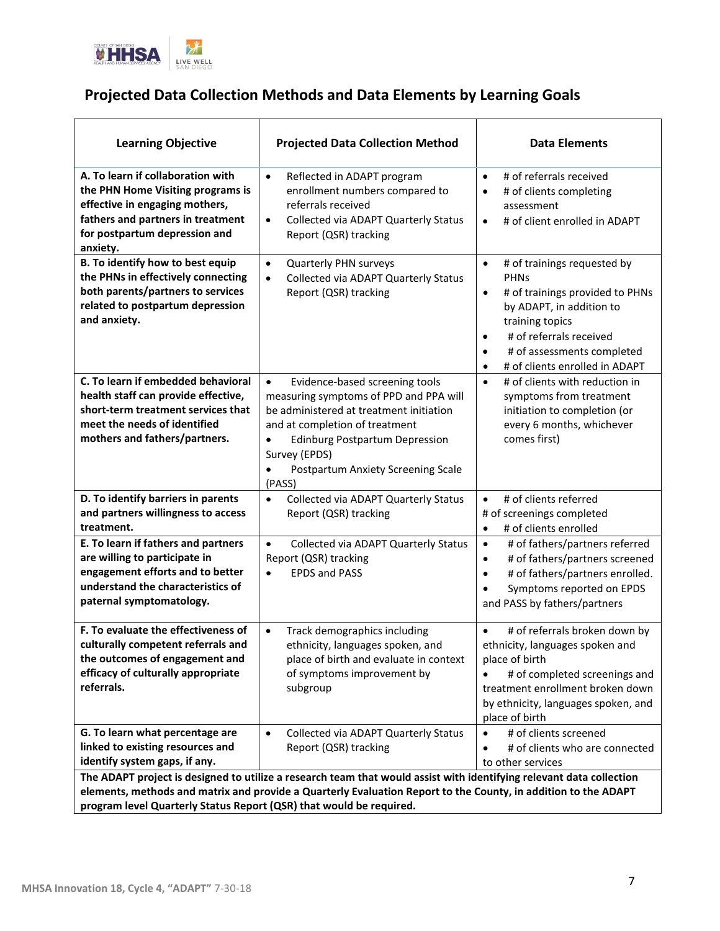

# **Projected Data Collection Methods and Data Elements by Learning Goals**

| <b>Learning Objective</b>                                                                                                                                                                  | <b>Projected Data Collection Method</b>                                                                                                                                                                                                                                                                | <b>Data Elements</b>                                                                                                                                                                                                                                                |  |  |  |  |
|--------------------------------------------------------------------------------------------------------------------------------------------------------------------------------------------|--------------------------------------------------------------------------------------------------------------------------------------------------------------------------------------------------------------------------------------------------------------------------------------------------------|---------------------------------------------------------------------------------------------------------------------------------------------------------------------------------------------------------------------------------------------------------------------|--|--|--|--|
| A. To learn if collaboration with<br>the PHN Home Visiting programs is<br>effective in engaging mothers,<br>fathers and partners in treatment<br>for postpartum depression and<br>anxiety. | Reflected in ADAPT program<br>$\bullet$<br>enrollment numbers compared to<br>referrals received<br>Collected via ADAPT Quarterly Status<br>$\bullet$<br>Report (QSR) tracking                                                                                                                          | # of referrals received<br>$\bullet$<br># of clients completing<br>$\bullet$<br>assessment<br># of client enrolled in ADAPT<br>$\bullet$                                                                                                                            |  |  |  |  |
| B. To identify how to best equip<br>the PHNs in effectively connecting<br>both parents/partners to services<br>related to postpartum depression<br>and anxiety.                            | Quarterly PHN surveys<br>$\bullet$<br>Collected via ADAPT Quarterly Status<br>$\bullet$<br>Report (QSR) tracking                                                                                                                                                                                       | # of trainings requested by<br>$\bullet$<br><b>PHNs</b><br># of trainings provided to PHNs<br>$\bullet$<br>by ADAPT, in addition to<br>training topics<br># of referrals received<br>٠<br># of assessments completed<br># of clients enrolled in ADAPT<br>$\bullet$ |  |  |  |  |
| C. To learn if embedded behavioral<br>health staff can provide effective,<br>short-term treatment services that<br>meet the needs of identified<br>mothers and fathers/partners.           | Evidence-based screening tools<br>$\bullet$<br>measuring symptoms of PPD and PPA will<br>be administered at treatment initiation<br>and at completion of treatment<br><b>Edinburg Postpartum Depression</b><br>$\bullet$<br>Survey (EPDS)<br>Postpartum Anxiety Screening Scale<br>$\bullet$<br>(PASS) | # of clients with reduction in<br>$\bullet$<br>symptoms from treatment<br>initiation to completion (or<br>every 6 months, whichever<br>comes first)                                                                                                                 |  |  |  |  |
| D. To identify barriers in parents<br>and partners willingness to access<br>treatment.                                                                                                     | Collected via ADAPT Quarterly Status<br>$\bullet$<br>Report (QSR) tracking                                                                                                                                                                                                                             | # of clients referred<br>$\bullet$<br># of screenings completed<br># of clients enrolled<br>$\bullet$                                                                                                                                                               |  |  |  |  |
| E. To learn if fathers and partners<br>are willing to participate in<br>engagement efforts and to better<br>understand the characteristics of<br>paternal symptomatology.                  | Collected via ADAPT Quarterly Status<br>$\bullet$<br>Report (QSR) tracking<br><b>EPDS and PASS</b><br>$\bullet$                                                                                                                                                                                        | # of fathers/partners referred<br>$\bullet$<br># of fathers/partners screened<br>$\bullet$<br># of fathers/partners enrolled.<br>$\bullet$<br>Symptoms reported on EPDS<br>$\bullet$<br>and PASS by fathers/partners                                                |  |  |  |  |
| F. To evaluate the effectiveness of<br>culturally competent referrals and<br>the outcomes of engagement and<br>efficacy of culturally appropriate<br>referrals.                            | Track demographics including<br>$\bullet$<br>ethnicity, languages spoken, and<br>place of birth and evaluate in context<br>of symptoms improvement by<br>subgroup                                                                                                                                      | # of referrals broken down by<br>$\bullet$<br>ethnicity, languages spoken and<br>place of birth<br># of completed screenings and<br>treatment enrollment broken down<br>by ethnicity, languages spoken, and<br>place of birth                                       |  |  |  |  |
| G. To learn what percentage are<br>linked to existing resources and<br>identify system gaps, if any.                                                                                       | Collected via ADAPT Quarterly Status<br>$\bullet$<br>Report (QSR) tracking<br>The ADAPT project is designed to utilize a research team that would assist with identifying relevant data collection                                                                                                     | # of clients screened<br># of clients who are connected<br>$\bullet$<br>to other services                                                                                                                                                                           |  |  |  |  |
| elements, methods and matrix and provide a Quarterly Evaluation Report to the County, in addition to the ADAPT<br>program level Quarterly Status Report (QSR) that would be required.      |                                                                                                                                                                                                                                                                                                        |                                                                                                                                                                                                                                                                     |  |  |  |  |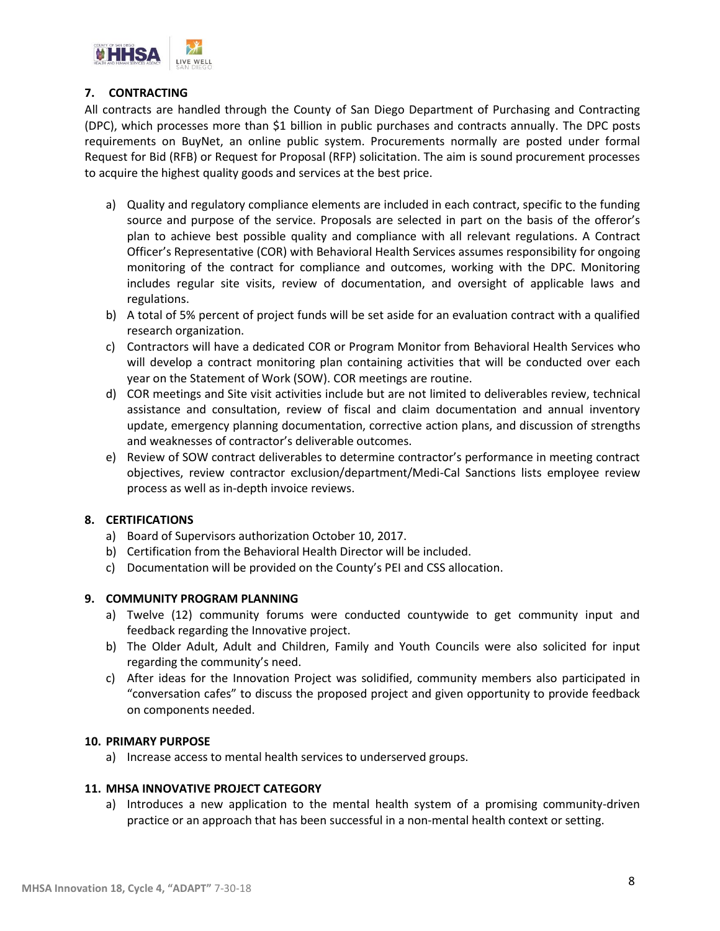

## **7. CONTRACTING**

All contracts are handled through the County of San Diego Department of Purchasing and Contracting (DPC), which processes more than \$1 billion in public purchases and contracts annually. The DPC posts requirements on BuyNet, an online public system. Procurements normally are posted under formal Request for Bid (RFB) or Request for Proposal (RFP) solicitation. The aim is sound procurement processes to acquire the highest quality goods and services at the best price.

- a) Quality and regulatory compliance elements are included in each contract, specific to the funding source and purpose of the service. Proposals are selected in part on the basis of the offeror's plan to achieve best possible quality and compliance with all relevant regulations. A Contract Officer's Representative (COR) with Behavioral Health Services assumes responsibility for ongoing monitoring of the contract for compliance and outcomes, working with the DPC. Monitoring includes regular site visits, review of documentation, and oversight of applicable laws and regulations.
- b) A total of 5% percent of project funds will be set aside for an evaluation contract with a qualified research organization.
- c) Contractors will have a dedicated COR or Program Monitor from Behavioral Health Services who will develop a contract monitoring plan containing activities that will be conducted over each year on the Statement of Work (SOW). COR meetings are routine.
- d) COR meetings and Site visit activities include but are not limited to deliverables review, technical assistance and consultation, review of fiscal and claim documentation and annual inventory update, emergency planning documentation, corrective action plans, and discussion of strengths and weaknesses of contractor's deliverable outcomes.
- e) Review of SOW contract deliverables to determine contractor's performance in meeting contract objectives, review contractor exclusion/department/Medi-Cal Sanctions lists employee review process as well as in-depth invoice reviews.

### **8. CERTIFICATIONS**

- a) Board of Supervisors authorization October 10, 2017.
- b) Certification from the Behavioral Health Director will be included.
- c) Documentation will be provided on the County's PEI and CSS allocation.

#### **9. COMMUNITY PROGRAM PLANNING**

- a) Twelve (12) community forums were conducted countywide to get community input and feedback regarding the Innovative project.
- b) The Older Adult, Adult and Children, Family and Youth Councils were also solicited for input regarding the community's need.
- c) After ideas for the Innovation Project was solidified, community members also participated in "conversation cafes" to discuss the proposed project and given opportunity to provide feedback on components needed.

#### **10. PRIMARY PURPOSE**

a) Increase access to mental health services to underserved groups.

#### **11. MHSA INNOVATIVE PROJECT CATEGORY**

a) Introduces a new application to the mental health system of a promising community-driven practice or an approach that has been successful in a non-mental health context or setting.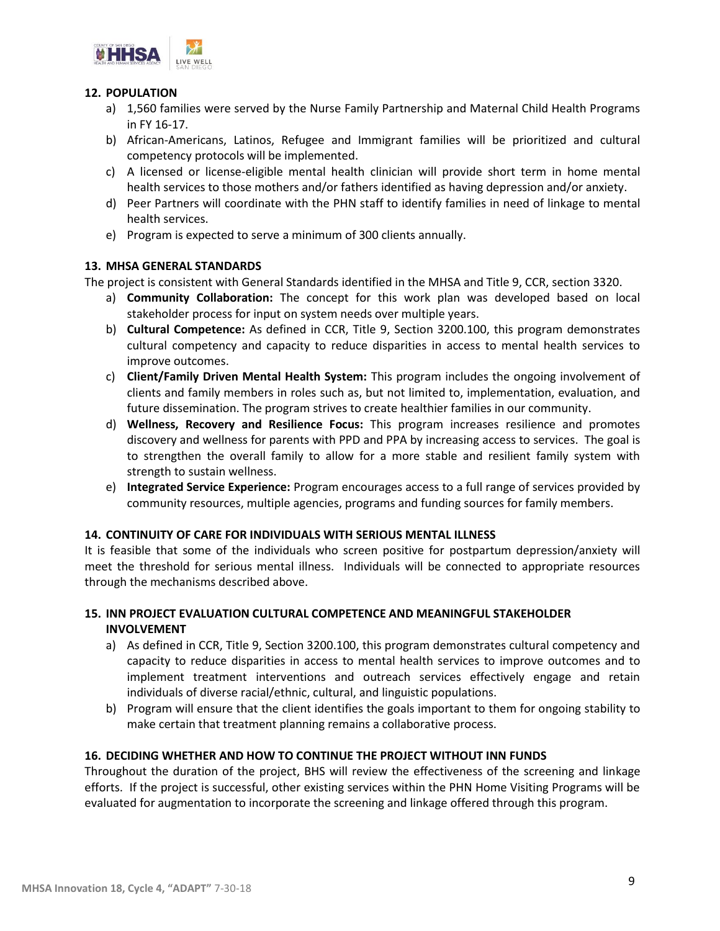

## **12. POPULATION**

- a) 1,560 families were served by the Nurse Family Partnership and Maternal Child Health Programs in FY 16-17.
- b) African-Americans, Latinos, Refugee and Immigrant families will be prioritized and cultural competency protocols will be implemented.
- c) A licensed or license-eligible mental health clinician will provide short term in home mental health services to those mothers and/or fathers identified as having depression and/or anxiety.
- d) Peer Partners will coordinate with the PHN staff to identify families in need of linkage to mental health services.
- e) Program is expected to serve a minimum of 300 clients annually.

## **13. MHSA GENERAL STANDARDS**

The project is consistent with General Standards identified in the MHSA and Title 9, CCR, section 3320.

- a) **Community Collaboration:** The concept for this work plan was developed based on local stakeholder process for input on system needs over multiple years.
- b) **Cultural Competence:** As defined in CCR, Title 9, Section 3200.100, this program demonstrates cultural competency and capacity to reduce disparities in access to mental health services to improve outcomes.
- c) **Client/Family Driven Mental Health System:** This program includes the ongoing involvement of clients and family members in roles such as, but not limited to, implementation, evaluation, and future dissemination. The program strives to create healthier families in our community.
- d) **Wellness, Recovery and Resilience Focus:** This program increases resilience and promotes discovery and wellness for parents with PPD and PPA by increasing access to services. The goal is to strengthen the overall family to allow for a more stable and resilient family system with strength to sustain wellness.
- e) **Integrated Service Experience:** Program encourages access to a full range of services provided by community resources, multiple agencies, programs and funding sources for family members.

### **14. CONTINUITY OF CARE FOR INDIVIDUALS WITH SERIOUS MENTAL ILLNESS**

It is feasible that some of the individuals who screen positive for postpartum depression/anxiety will meet the threshold for serious mental illness. Individuals will be connected to appropriate resources through the mechanisms described above.

## **15. INN PROJECT EVALUATION CULTURAL COMPETENCE AND MEANINGFUL STAKEHOLDER INVOLVEMENT**

- a) As defined in CCR, Title 9, Section 3200.100, this program demonstrates cultural competency and capacity to reduce disparities in access to mental health services to improve outcomes and to implement treatment interventions and outreach services effectively engage and retain individuals of diverse racial/ethnic, cultural, and linguistic populations.
- b) Program will ensure that the client identifies the goals important to them for ongoing stability to make certain that treatment planning remains a collaborative process.

## **16. DECIDING WHETHER AND HOW TO CONTINUE THE PROJECT WITHOUT INN FUNDS**

Throughout the duration of the project, BHS will review the effectiveness of the screening and linkage efforts. If the project is successful, other existing services within the PHN Home Visiting Programs will be evaluated for augmentation to incorporate the screening and linkage offered through this program.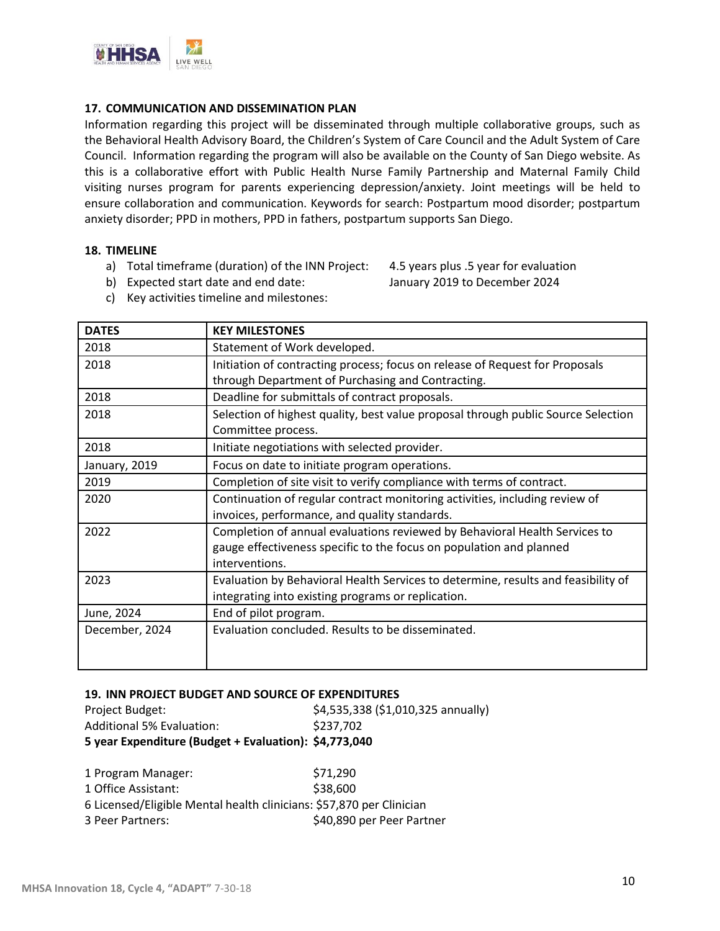

#### **17. COMMUNICATION AND DISSEMINATION PLAN**

Information regarding this project will be disseminated through multiple collaborative groups, such as the Behavioral Health Advisory Board, the Children's System of Care Council and the Adult System of Care Council. Information regarding the program will also be available on the County of San Diego website. As this is a collaborative effort with Public Health Nurse Family Partnership and Maternal Family Child visiting nurses program for parents experiencing depression/anxiety. Joint meetings will be held to ensure collaboration and communication. Keywords for search: Postpartum mood disorder; postpartum anxiety disorder; PPD in mothers, PPD in fathers, postpartum supports San Diego.

#### **18. TIMELINE**

a) Total timeframe (duration) of the INN Project: 4.5 years plus .5 year for evaluation

b) Expected start date and end date: January 2019 to December 2024

c) Key activities timeline and milestones:

| <b>DATES</b>   | <b>KEY MILESTONES</b>                                                                                                                                               |
|----------------|---------------------------------------------------------------------------------------------------------------------------------------------------------------------|
| 2018           | Statement of Work developed.                                                                                                                                        |
| 2018           | Initiation of contracting process; focus on release of Request for Proposals<br>through Department of Purchasing and Contracting.                                   |
| 2018           | Deadline for submittals of contract proposals.                                                                                                                      |
| 2018           | Selection of highest quality, best value proposal through public Source Selection<br>Committee process.                                                             |
| 2018           | Initiate negotiations with selected provider.                                                                                                                       |
| January, 2019  | Focus on date to initiate program operations.                                                                                                                       |
| 2019           | Completion of site visit to verify compliance with terms of contract.                                                                                               |
| 2020           | Continuation of regular contract monitoring activities, including review of<br>invoices, performance, and quality standards.                                        |
| 2022           | Completion of annual evaluations reviewed by Behavioral Health Services to<br>gauge effectiveness specific to the focus on population and planned<br>interventions. |
| 2023           | Evaluation by Behavioral Health Services to determine, results and feasibility of<br>integrating into existing programs or replication.                             |
| June, 2024     | End of pilot program.                                                                                                                                               |
| December, 2024 | Evaluation concluded. Results to be disseminated.                                                                                                                   |

#### **19. INN PROJECT BUDGET AND SOURCE OF EXPENDITURES**

| 5 year Expenditure (Budget + Evaluation): \$4,773,040 |                                    |
|-------------------------------------------------------|------------------------------------|
| Additional 5% Evaluation:                             | \$237.702                          |
| Project Budget:                                       | \$4,535,338 (\$1,010,325 annually) |

| 1 Program Manager:                                                   | \$71,290                  |
|----------------------------------------------------------------------|---------------------------|
| 1 Office Assistant:                                                  | \$38,600                  |
| 6 Licensed/Eligible Mental health clinicians: \$57,870 per Clinician |                           |
| 3 Peer Partners:                                                     | \$40,890 per Peer Partner |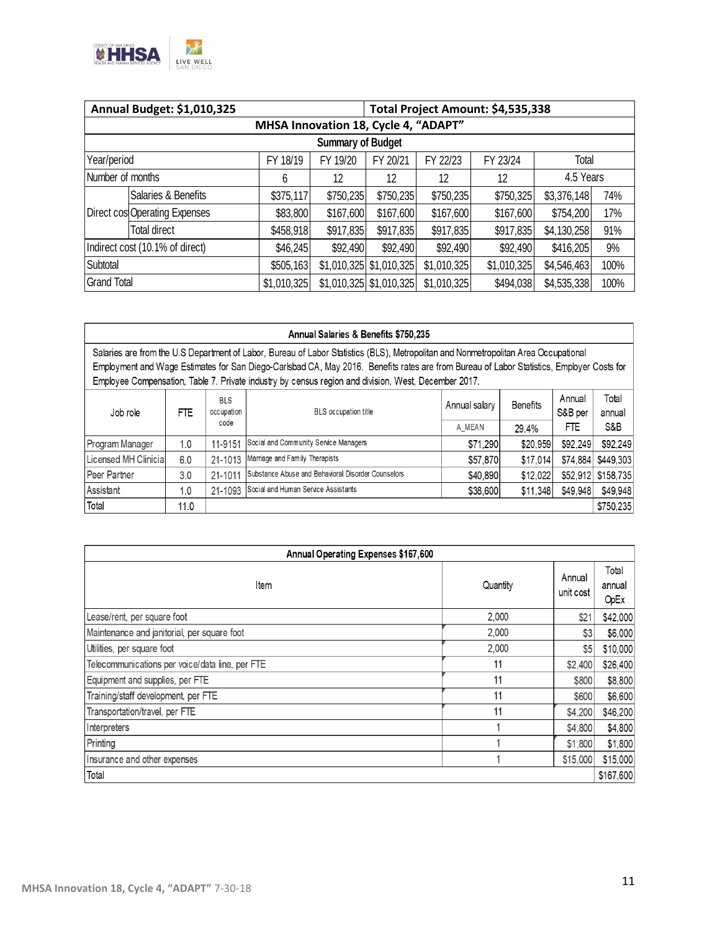

| Annual Budget: \$1,010,325           |                               |             |           | Total Project Amount: \$4,535,338 |             |             |             |      |
|--------------------------------------|-------------------------------|-------------|-----------|-----------------------------------|-------------|-------------|-------------|------|
| MHSA Innovation 18, Cycle 4, "ADAPT" |                               |             |           |                                   |             |             |             |      |
| <b>Summary of Budget</b>             |                               |             |           |                                   |             |             |             |      |
| Year/period                          |                               | FY 18/19    | FY 19/20  | FY 20/21                          | FY 22/23    | FY 23/24    | Total       |      |
| Number of months                     |                               | 6           | 12        | 12                                | 12          | 12          | 4.5 Years   |      |
|                                      | Salaries & Benefits           | \$375,117   | \$750,235 | \$750,235                         | \$750,235   | \$750,325   | \$3,376,148 | 74%  |
|                                      | Direct cos Operating Expenses | \$83,800    | \$167,600 | \$167,600                         | \$167,600   | \$167,600   | \$754,200   | 17%  |
|                                      | <b>Total direct</b>           | \$458,918   | \$917,835 | \$917,835                         | \$917,835   | \$917,835   | \$4,130,258 | 91%  |
| Indirect cost (10.1% of direct)      |                               | \$46,245    | \$92,490  | \$92,490                          | \$92,490    | \$92,490    | \$416,205   | 9%   |
| Subtotal                             |                               | \$505,163   |           | \$1,010,325 \$1,010,325           | \$1,010,325 | \$1,010,325 | \$4,546,463 | 100% |
| <b>Grand Total</b>                   |                               | \$1,010,325 |           | \$1,010,325 \$1,010,325           | \$1,010,325 | \$494,038   | \$4,535,338 | 100% |

| Annual Salaries & Benefits \$750,235                                                                                                                                                                                                              |      |                                  |                                                    |               |                 |                   |                 |
|---------------------------------------------------------------------------------------------------------------------------------------------------------------------------------------------------------------------------------------------------|------|----------------------------------|----------------------------------------------------|---------------|-----------------|-------------------|-----------------|
| Salaries are from the U.S Department of Labor, Bureau of Labor Statistics (BLS), Metropolitan and Nonmetropolitan Area Occupational                                                                                                               |      |                                  |                                                    |               |                 |                   |                 |
| Employment and Wage Estimates for San Diego-Carlsbad CA, May 2016. Benefits rates are from Bureau of Labor Statistics, Employer Costs for<br>Employee Compensation, Table 7. Private industry by census region and division, West, December 2017. |      |                                  |                                                    |               |                 |                   |                 |
|                                                                                                                                                                                                                                                   |      |                                  |                                                    |               |                 |                   |                 |
| Job role                                                                                                                                                                                                                                          | FTE  | <b>BLS</b><br>occupation<br>code | <b>BLS</b> occupation title                        | Annual salary | <b>Benefits</b> | Annual<br>S&B per | Total<br>annual |
|                                                                                                                                                                                                                                                   |      |                                  |                                                    | A MEAN        | 29.4%           | FTE               | S&B             |
| Program Manager                                                                                                                                                                                                                                   | 1.0  | 11-9151                          | Social and Community Service Managers              | \$71,290      | \$20,959        | \$92,249          | \$92,249        |
| Licensed MH Clinicial                                                                                                                                                                                                                             | 6.0  | 21-1013                          | Marriage and Family Therapists                     | \$57,870      | \$17,014        | \$74.884          | \$449,303       |
| Peer Partner                                                                                                                                                                                                                                      | 3.0  | 21-1011                          | Substance Abuse and Behavioral Disorder Counselors | \$40,890      | \$12.022        | \$52,912          | \$158,735       |
| Assistant                                                                                                                                                                                                                                         | 1.0  | 21-1093                          | Social and Human Service Assistants                | \$38,600      | \$11,348        | \$49.948          | \$49,948        |
| Total                                                                                                                                                                                                                                             | 11.0 |                                  |                                                    |               |                 |                   | \$750,235       |

| Annual Operating Expenses \$167,600             |          |                     |                         |  |  |  |
|-------------------------------------------------|----------|---------------------|-------------------------|--|--|--|
| Item                                            | Quantity | Annual<br>unit cost | Total<br>annual<br>OpEx |  |  |  |
| Lease/rent, per square foot                     | 2.000    | \$21                | \$42,000                |  |  |  |
| Maintenance and janitorial, per square foot     | 2,000    | \$3                 | \$6,000                 |  |  |  |
| Utilities, per square foot                      | 2,000    | \$5                 | \$10,000                |  |  |  |
| Telecommunications per voice/data line, per FTE | 11       | \$2,400             | \$26,400                |  |  |  |
| Equipment and supplies, per FTE                 | 11       | \$800               | \$8,800                 |  |  |  |
| Training/staff development, per FTE             | 11       | \$600               | \$6,600                 |  |  |  |
| Transportation/travel, per FTE                  | 11       | \$4,200             | \$46,200                |  |  |  |
| Interpreters                                    |          | \$4,800             | \$4,800                 |  |  |  |
| Printing                                        |          | \$1,800             | \$1,800                 |  |  |  |
| Insurance and other expenses                    |          | \$15,000            | \$15,000                |  |  |  |
| Total                                           |          |                     | \$167,600               |  |  |  |